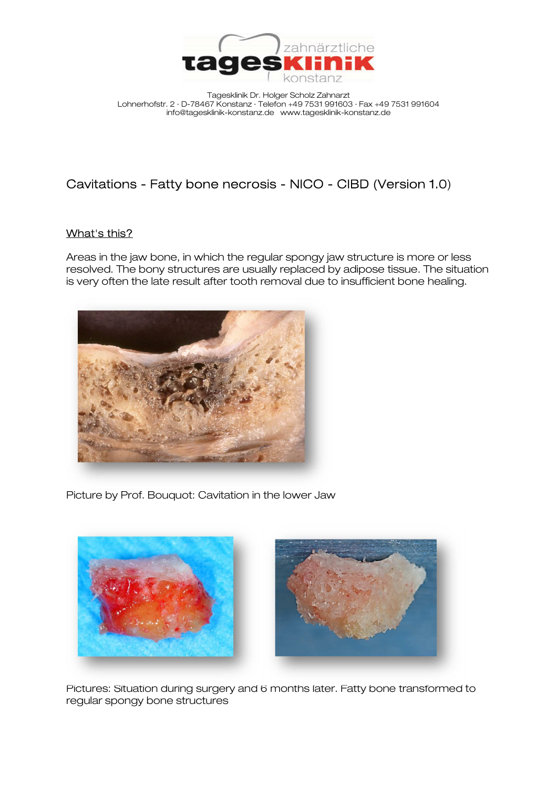

# Cavitations - Fatty bone necrosis - NICO - CIBD (Version 1.0)

### What's this?

Areas in the jaw bone, in which the regular spongy jaw structure is more or less resolved. The bony structures are usually replaced by adipose tissue. The situation is very often the late result after tooth removal due to insufficient bone healing.



Picture by Prof. Bouquot: Cavitation in the lower Jaw



Pictures: Situation during surgery and 6 months later. Fatty bone transformed to regular spongy bone structures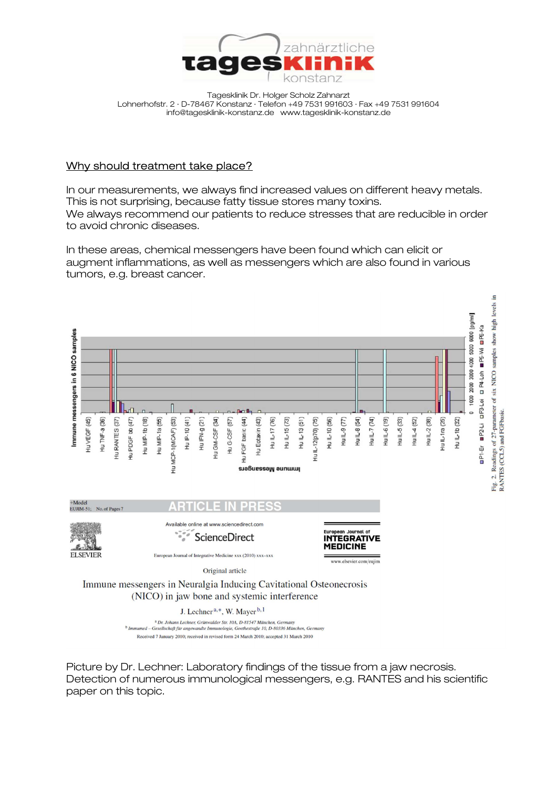

#### Why should treatment take place?

In our measurements, we always find increased values on different heavy metals. This is not surprising, because fatty tissue stores many toxins. We always recommend our patients to reduce stresses that are reducible in order to avoid chronic diseases.

In these areas, chemical messengers have been found which can elicit or augment inflammations, as well as messengers which are also found in various tumors, e.g. breast cancer.



Picture by Dr. Lechner: Laboratory findings of the tissue from a jaw necrosis. Detection of numerous immunological messengers, e.g. RANTES and his scientific paper on this topic.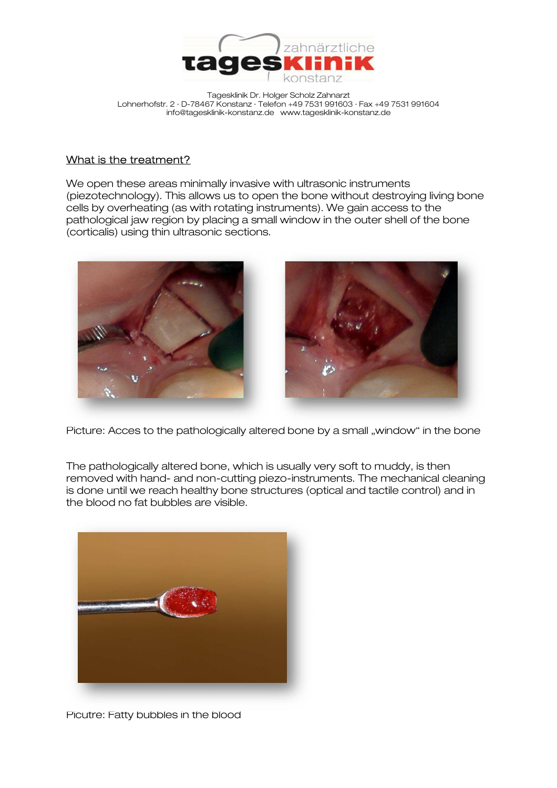

### What is the treatment?

We open these areas minimally invasive with ultrasonic instruments (piezotechnology). This allows us to open the bone without destroying living bone cells by overheating (as with rotating instruments). We gain access to the pathological jaw region by placing a small window in the outer shell of the bone (corticalis) using thin ultrasonic sections.



Picture: Acces to the pathologically altered bone by a small "window" in the bone

The pathologically altered bone, which is usually very soft to muddy, is then removed with hand- and non-cutting piezo-instruments. The mechanical cleaning is done until we reach healthy bone structures (optical and tactile control) and in the blood no fat bubbles are visible.



Picutre: Fatty bubbles in the blood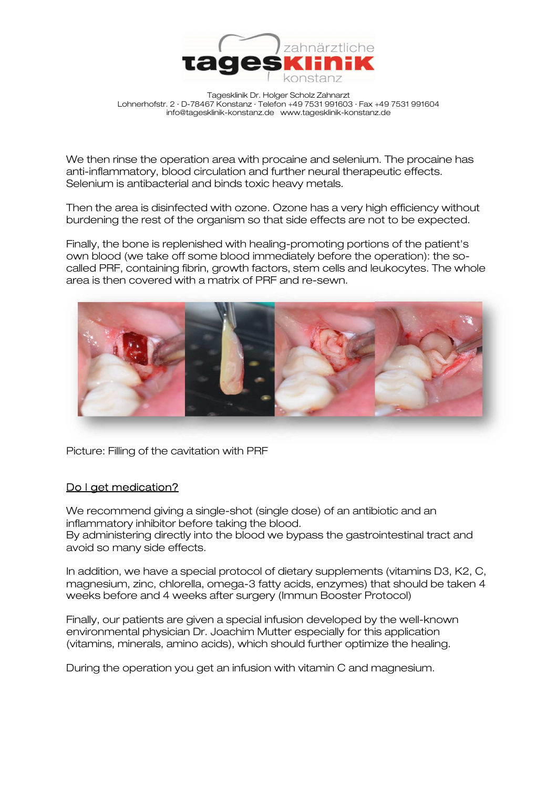

We then rinse the operation area with procaine and selenium. The procaine has anti-inflammatory, blood circulation and further neural therapeutic effects. Selenium is antibacterial and binds toxic heavy metals.

Then the area is disinfected with ozone. Ozone has a very high efficiency without burdening the rest of the organism so that side effects are not to be expected.

Finally, the bone is replenished with healing-promoting portions of the patient's own blood (we take off some blood immediately before the operation): the socalled PRF, containing fibrin, growth factors, stem cells and leukocytes. The whole area is then covered with a matrix of PRF and re-sewn.



Picture: Filling of the cavitation with PRF

## Do I get medication?

We recommend giving a single-shot (single dose) of an antibiotic and an inflammatory inhibitor before taking the blood. By administering directly into the blood we bypass the gastrointestinal tract and avoid so many side effects.

In addition, we have a special protocol of dietary supplements (vitamins D3, K2, C, magnesium, zinc, chlorella, omega-3 fatty acids, enzymes) that should be taken 4 weeks before and 4 weeks after surgery (Immun Booster Protocol)

Finally, our patients are given a special infusion developed by the well-known environmental physician Dr. Joachim Mutter especially for this application (vitamins, minerals, amino acids), which should further optimize the healing.

During the operation you get an infusion with vitamin C and magnesium.